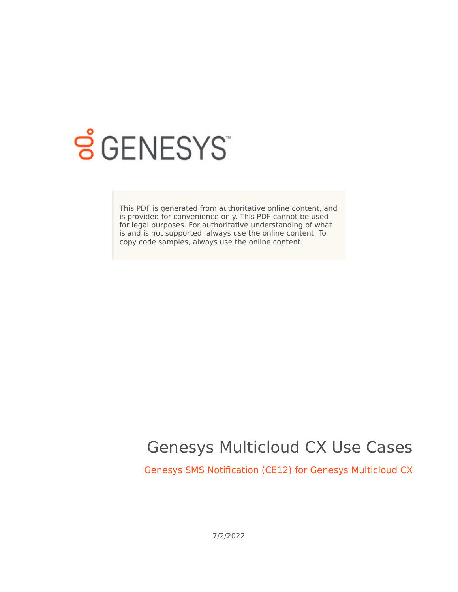

# **SGENESYS**

This PDF is generated from authoritative online content, and is provided for convenience only. This PDF cannot be used for legal purposes. For authoritative understanding of what is and is not supported, always use the online content. To copy code samples, always use the online content.

## Genesys Multicloud CX Use Cases

Genesys SMS Notification (CE12) for Genesys Multicloud CX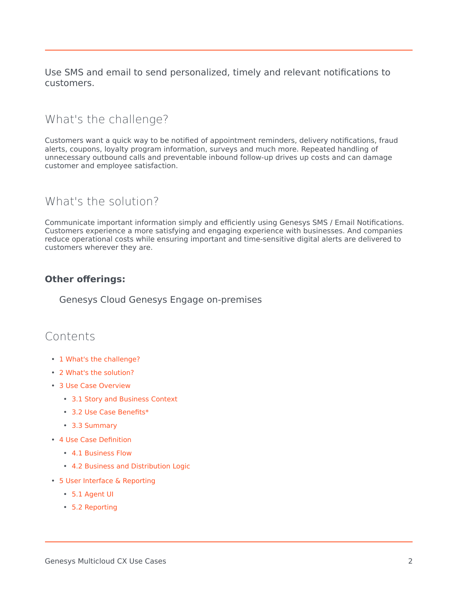Use SMS and email to send personalized, timely and relevant notifications to customers.

## <span id="page-1-0"></span>What's the challenge?

Customers want a quick way to be notified of appointment reminders, delivery notifications, fraud alerts, coupons, loyalty program information, surveys and much more. Repeated handling of unnecessary outbound calls and preventable inbound follow-up drives up costs and can damage customer and employee satisfaction.

## <span id="page-1-1"></span>What's the solution?

Communicate important information simply and efficiently using Genesys SMS / Email Notifications. Customers experience a more satisfying and engaging experience with businesses. And companies reduce operational costs while ensuring important and time-sensitive digital alerts are delivered to customers wherever they are.

#### **Other offerings:**

Genesys Cloud Genesys Engage on-premises

## Contents

- 1 [What's the challenge?](#page-1-0)
- 2 [What's the solution?](#page-1-1)
- 3 [Use Case Overview](#page-3-0)
	- 3.1 [Story and Business Context](#page-3-1)
	- 3.2 [Use Case Benefits\\*](#page-3-2)
	- 3.3 [Summary](#page-3-3)
- 4 [Use Case Definition](#page-4-0)
	- 4.1 [Business Flow](#page-4-1)
	- 4.2 [Business and Distribution Logic](#page-6-0)
- 5 [User Interface & Reporting](#page-7-0) 
	- 5.1 [Agent UI](#page-7-1)
	- 5.2 [Reporting](#page-7-2)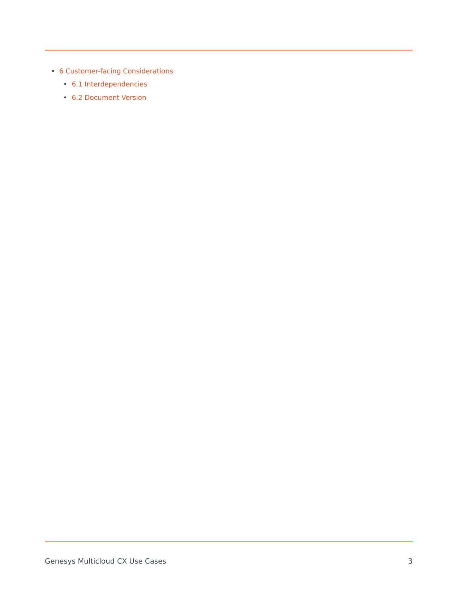- 6 [Customer-facing Considerations](#page-8-0)
	- 6.1 [Interdependencies](#page-8-1)
	- 6.2 [Document Version](#page-8-2)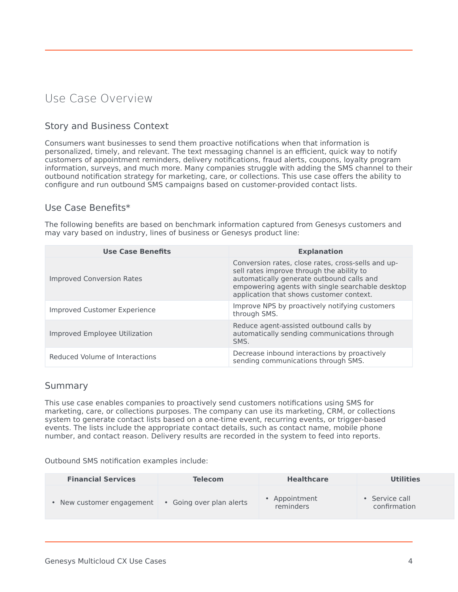## <span id="page-3-0"></span>Use Case Overview

#### <span id="page-3-1"></span>Story and Business Context

Consumers want businesses to send them proactive notifications when that information is personalized, timely, and relevant. The text messaging channel is an efficient, quick way to notify customers of appointment reminders, delivery notifications, fraud alerts, coupons, loyalty program information, surveys, and much more. Many companies struggle with adding the SMS channel to their outbound notification strategy for marketing, care, or collections. This use case offers the ability to configure and run outbound SMS campaigns based on customer-provided contact lists.

#### <span id="page-3-2"></span>Use Case Benefits\*

The following benefits are based on benchmark information captured from Genesys customers and may vary based on industry, lines of business or Genesys product line:

| <b>Use Case Benefits</b>            | <b>Explanation</b>                                                                                                                                                                                                                           |
|-------------------------------------|----------------------------------------------------------------------------------------------------------------------------------------------------------------------------------------------------------------------------------------------|
| <b>Improved Conversion Rates</b>    | Conversion rates, close rates, cross-sells and up-<br>sell rates improve through the ability to<br>automatically generate outbound calls and<br>empowering agents with single searchable desktop<br>application that shows customer context. |
| <b>Improved Customer Experience</b> | Improve NPS by proactively notifying customers<br>through SMS.                                                                                                                                                                               |
| Improved Employee Utilization       | Reduce agent-assisted outbound calls by<br>automatically sending communications through<br>SMS.                                                                                                                                              |
| Reduced Volume of Interactions      | Decrease inbound interactions by proactively<br>sending communications through SMS.                                                                                                                                                          |

#### <span id="page-3-3"></span>Summary

This use case enables companies to proactively send customers notifications using SMS for marketing, care, or collections purposes. The company can use its marketing, CRM, or collections system to generate contact lists based on a one-time event, recurring events, or trigger-based events. The lists include the appropriate contact details, such as contact name, mobile phone number, and contact reason. Delivery results are recorded in the system to feed into reports.

Outbound SMS notification examples include:

| <b>Financial Services</b> | <b>Telecom</b>           | <b>Healthcare</b>        | Utilities                    |
|---------------------------|--------------------------|--------------------------|------------------------------|
| • New customer engagement | • Going over plan alerts | Appointment<br>reminders | Service call<br>confirmation |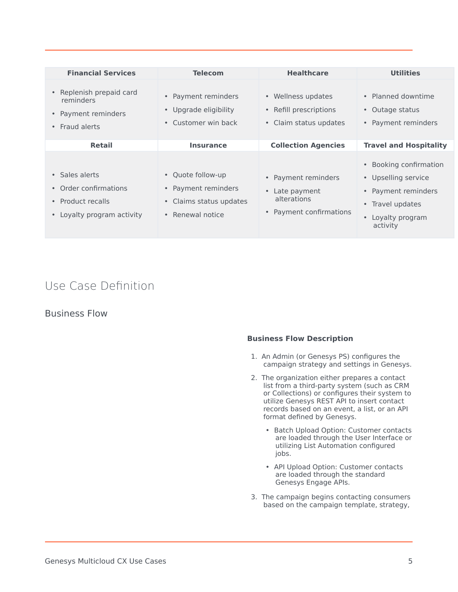| <b>Financial Services</b>                                                                | <b>Telecom</b>                                                                          | <b>Healthcare</b>                                                             | <b>Utilities</b>                                                                                                                              |
|------------------------------------------------------------------------------------------|-----------------------------------------------------------------------------------------|-------------------------------------------------------------------------------|-----------------------------------------------------------------------------------------------------------------------------------------------|
| Replenish prepaid card<br>reminders<br>Payment reminders<br>$\bullet$<br>• Fraud alerts  | • Payment reminders<br>• Upgrade eligibility<br>• Customer win back                     | • Wellness updates<br>• Refill prescriptions<br>• Claim status updates        | • Planned downtime<br>Outage status<br>$\bullet$<br>• Payment reminders                                                                       |
| <b>Retail</b>                                                                            | <b>Insurance</b>                                                                        | <b>Collection Agencies</b>                                                    | <b>Travel and Hospitality</b>                                                                                                                 |
| • Sales alerts<br>Order confirmations<br>• Product recalls<br>• Loyalty program activity | • Quote follow-up<br>• Payment reminders<br>• Claims status updates<br>• Renewal notice | • Payment reminders<br>Late payment<br>alterations<br>• Payment confirmations | Booking confirmation<br>$\bullet$<br>• Upselling service<br>• Payment reminders<br>Travel updates<br>$\bullet$<br>Loyalty program<br>activity |

## <span id="page-4-0"></span>Use Case Definition

#### <span id="page-4-1"></span>Business Flow

#### **Business Flow Description**

- 1. An Admin (or Genesys PS) configures the campaign strategy and settings in Genesys.
- 2. The organization either prepares a contact list from a third-party system (such as CRM or Collections) or configures their system to utilize Genesys REST API to insert contact records based on an event, a list, or an API format defined by Genesys.
	- Batch Upload Option: Customer contacts are loaded through the User Interface or utilizing List Automation configured jobs.
	- API Upload Option: Customer contacts are loaded through the standard Genesys Engage APIs.
- 3. The campaign begins contacting consumers based on the campaign template, strategy,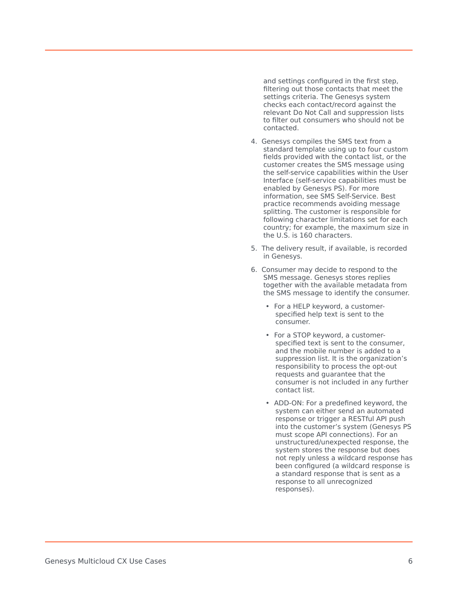and settings configured in the first step, filtering out those contacts that meet the settings criteria. The Genesys system checks each contact/record against the relevant Do Not Call and suppression lists to filter out consumers who should not be contacted.

- 4. Genesys compiles the SMS text from a standard template using up to four custom fields provided with the contact list, or the customer creates the SMS message using the self-service capabilities within the User Interface (self-service capabilities must be enabled by Genesys PS). For more information, see SMS Self-Service. Best practice recommends avoiding message splitting. The customer is responsible for following character limitations set for each country; for example, the maximum size in the U.S. is 160 characters.
- 5. The delivery result, if available, is recorded in Genesys.
- 6. Consumer may decide to respond to the SMS message. Genesys stores replies together with the available metadata from the SMS message to identify the consumer.
	- For a HELP keyword, a customerspecified help text is sent to the consumer.
	- For a STOP keyword, a customerspecified text is sent to the consumer, and the mobile number is added to a suppression list. It is the organization's responsibility to process the opt-out requests and guarantee that the consumer is not included in any further contact list.
	- ADD-ON: For a predefined keyword, the system can either send an automated response or trigger a RESTful API push into the customer's system (Genesys PS must scope API connections). For an unstructured/unexpected response, the system stores the response but does not reply unless a wildcard response has been configured (a wildcard response is a standard response that is sent as a response to all unrecognized responses).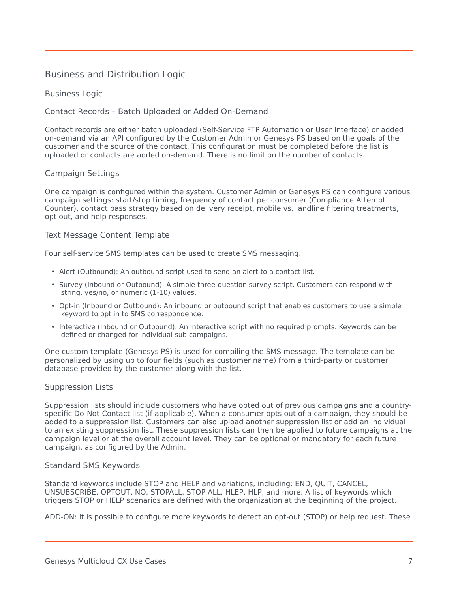#### <span id="page-6-0"></span>Business and Distribution Logic

#### Business Logic

Contact Records – Batch Uploaded or Added On-Demand

Contact records are either batch uploaded (Self-Service FTP Automation or User Interface) or added on-demand via an API configured by the Customer Admin or Genesys PS based on the goals of the customer and the source of the contact. This configuration must be completed before the list is uploaded or contacts are added on-demand. There is no limit on the number of contacts.

#### Campaign Settings

One campaign is configured within the system. Customer Admin or Genesys PS can configure various campaign settings: start/stop timing, frequency of contact per consumer (Compliance Attempt Counter), contact pass strategy based on delivery receipt, mobile vs. landline filtering treatments, opt out, and help responses.

#### Text Message Content Template

Four self-service SMS templates can be used to create SMS messaging.

- Alert (Outbound): An outbound script used to send an alert to a contact list.
- Survey (Inbound or Outbound): A simple three-question survey script. Customers can respond with string, yes/no, or numeric (1-10) values.
- Opt-in (Inbound or Outbound): An inbound or outbound script that enables customers to use a simple keyword to opt in to SMS correspondence.
- Interactive (Inbound or Outbound): An interactive script with no required prompts. Keywords can be defined or changed for individual sub campaigns.

One custom template (Genesys PS) is used for compiling the SMS message. The template can be personalized by using up to four fields (such as customer name) from a third-party or customer database provided by the customer along with the list.

#### Suppression Lists

Suppression lists should include customers who have opted out of previous campaigns and a countryspecific Do-Not-Contact list (if applicable). When a consumer opts out of a campaign, they should be added to a suppression list. Customers can also upload another suppression list or add an individual to an existing suppression list. These suppression lists can then be applied to future campaigns at the campaign level or at the overall account level. They can be optional or mandatory for each future campaign, as configured by the Admin.

#### Standard SMS Keywords

Standard keywords include STOP and HELP and variations, including: END, QUIT, CANCEL, UNSUBSCRIBE, OPTOUT, NO, STOPALL, STOP ALL, HLEP, HLP, and more. A list of keywords which triggers STOP or HELP scenarios are defined with the organization at the beginning of the project.

ADD-ON: It is possible to configure more keywords to detect an opt-out (STOP) or help request. These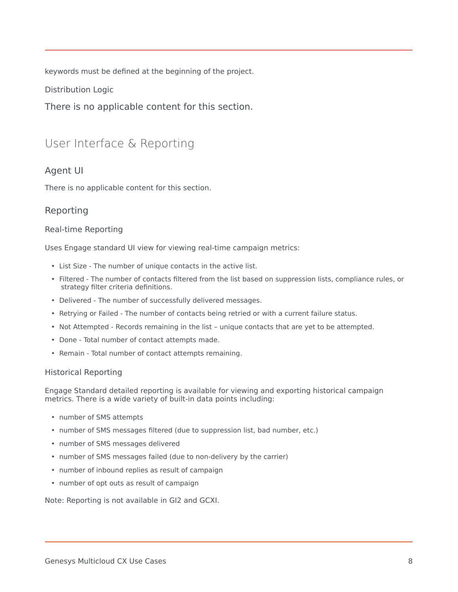keywords must be defined at the beginning of the project.

Distribution Logic

There is no applicable content for this section.

## <span id="page-7-0"></span>User Interface & Reporting

#### <span id="page-7-1"></span>Agent UI

There is no applicable content for this section.

#### <span id="page-7-2"></span>Reporting

#### Real-time Reporting

Uses Engage standard UI view for viewing real-time campaign metrics:

- List Size The number of unique contacts in the active list.
- Filtered The number of contacts filtered from the list based on suppression lists, compliance rules, or strategy filter criteria definitions.
- Delivered The number of successfully delivered messages.
- Retrying or Failed The number of contacts being retried or with a current failure status.
- Not Attempted Records remaining in the list unique contacts that are yet to be attempted.
- Done Total number of contact attempts made.
- Remain Total number of contact attempts remaining.

#### Historical Reporting

Engage Standard detailed reporting is available for viewing and exporting historical campaign metrics. There is a wide variety of built-in data points including:

- number of SMS attempts
- number of SMS messages filtered (due to suppression list, bad number, etc.)
- number of SMS messages delivered
- number of SMS messages failed (due to non-delivery by the carrier)
- number of inbound replies as result of campaign
- number of opt outs as result of campaign

Note: Reporting is not available in GI2 and GCXI.